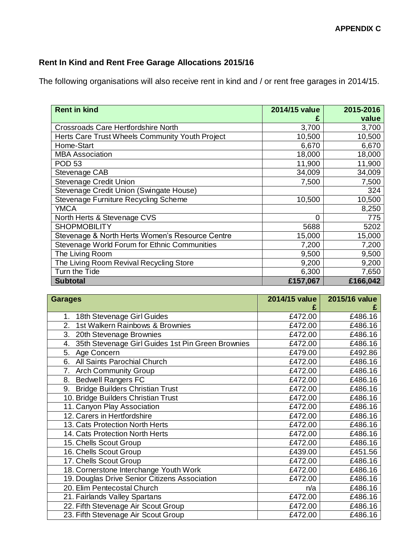## **Rent In Kind and Rent Free Garage Allocations 2015/16**

The following organisations will also receive rent in kind and / or rent free garages in 2014/15.

| <b>Rent in kind</b>                             | 2014/15 value | 2015-2016 |
|-------------------------------------------------|---------------|-----------|
|                                                 |               | value     |
| Crossroads Care Hertfordshire North             | 3,700         | 3,700     |
| Herts Care Trust Wheels Community Youth Project | 10,500        | 10,500    |
| Home-Start                                      | 6,670         | 6,670     |
| <b>MBA Association</b>                          | 18,000        | 18,000    |
| <b>POD 53</b>                                   | 11,900        | 11,900    |
| Stevenage CAB                                   | 34,009        | 34,009    |
| Stevenage Credit Union                          | 7,500         | 7,500     |
| Stevenage Credit Union (Swingate House)         |               | 324       |
| Stevenage Furniture Recycling Scheme            | 10,500        | 10,500    |
| <b>YMCA</b>                                     |               | 8,250     |
| North Herts & Stevenage CVS                     | $\Omega$      | 775       |
| <b>SHOPMOBILITY</b>                             | 5688          | 5202      |
| Stevenage & North Herts Women's Resource Centre | 15,000        | 15,000    |
| Stevenage World Forum for Ethnic Communities    | 7,200         | 7,200     |
| The Living Room                                 | 9,500         | 9,500     |
| The Living Room Revival Recycling Store         | 9,200         | 9,200     |
| Turn the Tide                                   | 6,300         | 7,650     |
| <b>Subtotal</b>                                 | £157,067      | £166,042  |

| <b>Garages</b>                                          | 2014/15 value | 2015/16 value |
|---------------------------------------------------------|---------------|---------------|
|                                                         |               |               |
| 18th Stevenage Girl Guides<br>1.                        | £472.00       | £486.16       |
| 1st Walkern Rainbows & Brownies<br>2.                   | £472.00       | £486.16       |
| 3. 20th Stevenage Brownies                              | £472.00       | £486.16       |
| 35th Stevenage Girl Guides 1st Pin Green Brownies<br>4. | £472.00       | £486.16       |
| 5. Age Concern                                          | £479.00       | £492.86       |
| All Saints Parochial Church<br>6.                       | £472.00       | £486.16       |
| 7. Arch Community Group                                 | £472.00       | £486.16       |
| <b>Bedwell Rangers FC</b><br>8.                         | £472.00       | £486.16       |
| 9. Bridge Builders Christian Trust                      | £472.00       | £486.16       |
| 10. Bridge Builders Christian Trust                     | £472.00       | £486.16       |
| 11. Canyon Play Association                             | £472.00       | £486.16       |
| 12. Carers in Hertfordshire                             | £472.00       | £486.16       |
| 13. Cats Protection North Herts                         | £472.00       | £486.16       |
| 14. Cats Protection North Herts                         | £472.00       | £486.16       |
| 15. Chells Scout Group                                  | £472.00       | £486.16       |
| 16. Chells Scout Group                                  | £439.00       | £451.56       |
| 17. Chells Scout Group                                  | £472.00       | £486.16       |
| 18. Cornerstone Interchange Youth Work                  | £472.00       | £486.16       |
| 19. Douglas Drive Senior Citizens Association           | £472.00       | £486.16       |
| 20. Elim Pentecostal Church                             | n/a           | £486.16       |
| 21. Fairlands Valley Spartans                           | £472.00       | £486.16       |
| 22. Fifth Stevenage Air Scout Group                     | £472.00       | £486.16       |
| 23. Fifth Stevenage Air Scout Group                     | £472.00       | £486.16       |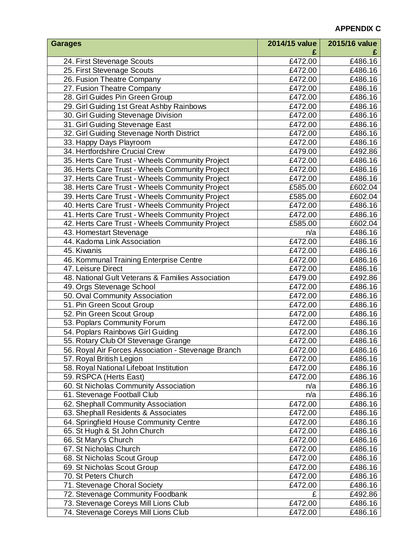## **APPENDIX C**

| <b>Garages</b>                                      | 2014/15 value | 2015/16 value |
|-----------------------------------------------------|---------------|---------------|
|                                                     |               |               |
| 24. First Stevenage Scouts                          | £472.00       | £486.16       |
| 25. First Stevenage Scouts                          | £472.00       | £486.16       |
| 26. Fusion Theatre Company                          | £472.00       | £486.16       |
| 27. Fusion Theatre Company                          | £472.00       | £486.16       |
| 28. Girl Guides Pin Green Group                     | £472.00       | £486.16       |
| 29. Girl Guiding 1st Great Ashby Rainbows           | £472.00       | £486.16       |
| 30. Girl Guiding Stevenage Division                 | £472.00       | £486.16       |
| 31. Girl Guiding Stevenage East                     | £472.00       | £486.16       |
| 32. Girl Guiding Stevenage North District           | £472.00       | £486.16       |
| 33. Happy Days Playroom                             | £472.00       | £486.16       |
| 34. Hertfordshire Crucial Crew                      | £479.00       | £492.86       |
| 35. Herts Care Trust - Wheels Community Project     | £472.00       | £486.16       |
| 36. Herts Care Trust - Wheels Community Project     | £472.00       | £486.16       |
| 37. Herts Care Trust - Wheels Community Project     | £472.00       | £486.16       |
| 38. Herts Care Trust - Wheels Community Project     | £585.00       | £602.04       |
| 39. Herts Care Trust - Wheels Community Project     | £585.00       | £602.04       |
| 40. Herts Care Trust - Wheels Community Project     | £472.00       | £486.16       |
| 41. Herts Care Trust - Wheels Community Project     | £472.00       | £486.16       |
| 42. Herts Care Trust - Wheels Community Project     | £585.00       | £602.04       |
| 43. Homestart Stevenage                             | n/a           | £486.16       |
| 44. Kadoma Link Association                         | £472.00       | £486.16       |
| 45. Kiwanis                                         | £472.00       | £486.16       |
| 46. Kommunal Training Enterprise Centre             | £472.00       | £486.16       |
| 47. Leisure Direct                                  | £472.00       | £486.16       |
| 48. National Gult Veterans & Families Association   | £479.00       | £492.86       |
| 49. Orgs Stevenage School                           | £472.00       | £486.16       |
| 50. Oval Community Association                      | £472.00       | £486.16       |
| 51. Pin Green Scout Group                           | £472.00       | £486.16       |
| 52. Pin Green Scout Group                           | £472.00       | £486.16       |
| 53. Poplars Community Forum                         | £472.00       | £486.16       |
| 54. Poplars Rainbows Girl Guiding                   | £472.00       | £486.16       |
| 55. Rotary Club Of Stevenage Grange                 | £472.00       | £486.16       |
| 56. Royal Air Forces Association - Stevenage Branch | £472.00       | £486.16       |
| 57. Royal British Legion                            | £472.00       | £486.16       |
| 58. Royal National Lifeboat Institution             | £472.00       | £486.16       |
| 59. RSPCA (Herts East)                              | £472.00       | £486.16       |
| 60. St Nicholas Community Association               | n/a           | £486.16       |
| 61. Stevenage Football Club                         | n/a           | £486.16       |
| 62. Shephall Community Association                  | £472.00       | £486.16       |
| 63. Shephall Residents & Associates                 | £472.00       | £486.16       |
| 64. Springfield House Community Centre              | £472.00       | £486.16       |
| 65. St Hugh & St John Church                        | £472.00       | £486.16       |
| 66. St Mary's Church                                | £472.00       | £486.16       |
| 67. St Nicholas Church                              | £472.00       | £486.16       |
| 68. St Nicholas Scout Group                         | £472.00       | £486.16       |
| 69. St Nicholas Scout Group                         | £472.00       | £486.16       |
| 70. St Peters Church                                | £472.00       | £486.16       |
| 71. Stevenage Choral Society                        | £472.00       | £486.16       |
| 72. Stevenage Community Foodbank                    | £             | £492.86       |
| 73. Stevenage Coreys Mill Lions Club                | £472.00       | £486.16       |
| 74. Stevenage Coreys Mill Lions Club                | £472.00       | £486.16       |
|                                                     |               |               |